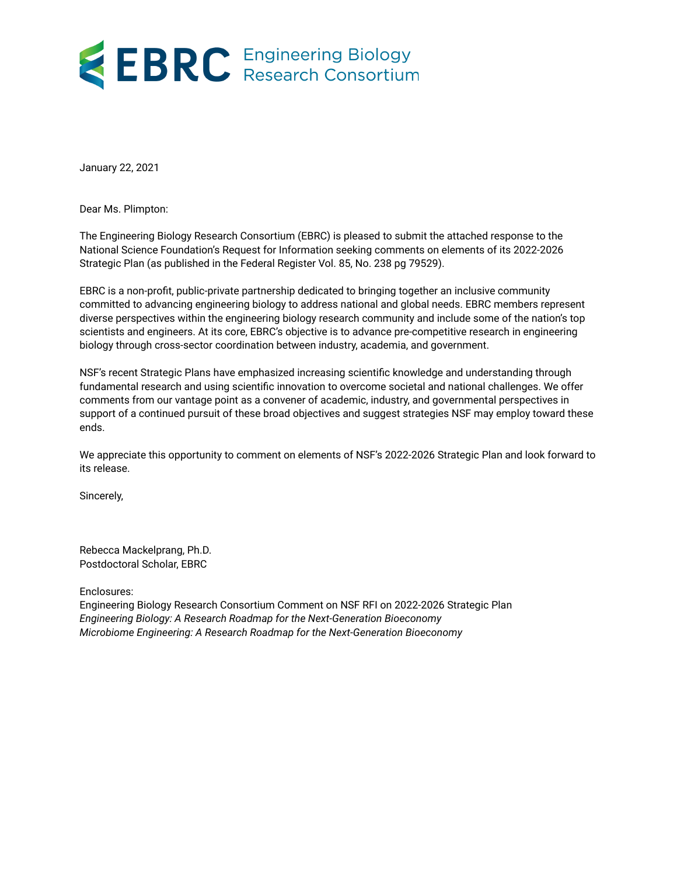# EBRC Engineering Biology

January 22, 2021

Dear Ms. Plimpton:

The Engineering Biology Research Consortium (EBRC) is pleased to submit the attached response to the National Science Foundation's Request for Information seeking comments on elements of its 2022-2026 Strategic Plan (as published in the Federal Register Vol. 85, No. 238 pg 79529).

EBRC is a non-profit, public-private partnership dedicated to bringing together an inclusive community committed to advancing engineering biology to address national and global needs. EBRC members represent diverse perspectives within the engineering biology research community and include some of the nation's top scientists and engineers. At its core, EBRC's objective is to advance pre-competitive research in engineering biology through cross-sector coordination between industry, academia, and government.

NSF's recent Strategic Plans have emphasized increasing scientific knowledge and understanding through fundamental research and using scientific innovation to overcome societal and national challenges. We offer comments from our vantage point as a convener of academic, industry, and governmental perspectives in support of a continued pursuit of these broad objectives and suggest strategies NSF may employ toward these ends.

We appreciate this opportunity to comment on elements of NSF's 2022-2026 Strategic Plan and look forward to its release.

Sincerely,

Rebecca Mackelprang, Ph.D. Postdoctoral Scholar, EBRC

Enclosures:

Engineering Biology Research Consortium Comment on NSF RFI on 2022-2026 Strategic Plan *Engineering Biology: A Research Roadmap for the Next-Generation Bioeconomy Microbiome Engineering: A Research Roadmap for the Next-Generation Bioeconomy*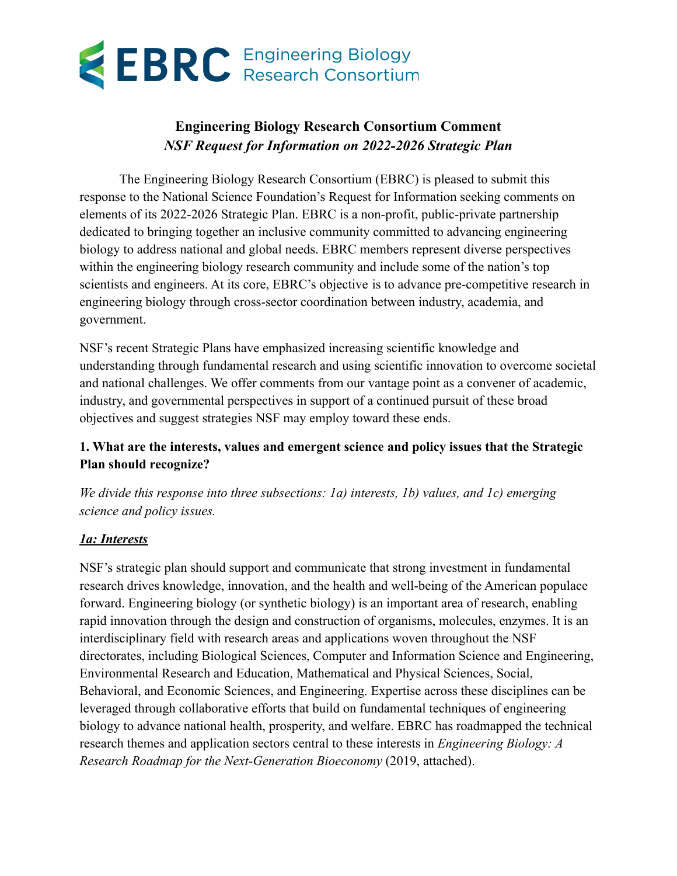# **EBRC** Engineering Biology

## **Engineering Biology Research Consortium Comment** *NSF Request for Information on 2022-2026 Strategic Plan*

The Engineering Biology Research Consortium (EBRC) is pleased to submit this response to the National Science Foundation's Request for Information seeking comments on elements of its 2022-2026 Strategic Plan. EBRC is a non-profit, public-private partnership dedicated to bringing together an inclusive community committed to advancing engineering biology to address national and global needs. EBRC members represent diverse perspectives within the engineering biology research community and include some of the nation's top scientists and engineers. At its core, EBRC's objective is to advance pre-competitive research in engineering biology through cross-sector coordination between industry, academia, and government.

NSF's recent Strategic Plans have emphasized increasing scientific knowledge and understanding through fundamental research and using scientific innovation to overcome societal and national challenges. We offer comments from our vantage point as a convener of academic, industry, and governmental perspectives in support of a continued pursuit of these broad objectives and suggest strategies NSF may employ toward these ends.

#### **1. What are the interests, values and emergent science and policy issues that the Strategic Plan should recognize?**

*We divide this response into three subsections: 1a) interests, 1b) values, and 1c) emerging science and policy issues.*

#### *1a: Interests*

NSF's strategic plan should support and communicate that strong investment in fundamental research drives knowledge, innovation, and the health and well-being of the American populace forward. Engineering biology (or synthetic biology) is an important area of research, enabling rapid innovation through the design and construction of organisms, molecules, enzymes. It is an interdisciplinary field with research areas and applications woven throughout the NSF directorates, including Biological Sciences, Computer and Information Science and Engineering, Environmental Research and Education, Mathematical and Physical Sciences, Social, Behavioral, and Economic Sciences, and Engineering. Expertise across these disciplines can be leveraged through collaborative efforts that build on fundamental techniques of engineering biology to advance national health, prosperity, and welfare. EBRC has roadmapped the technical research themes and application sectors central to these interests in *Engineering Biology: A Research Roadmap for the Next-Generation Bioeconomy* (2019, attached).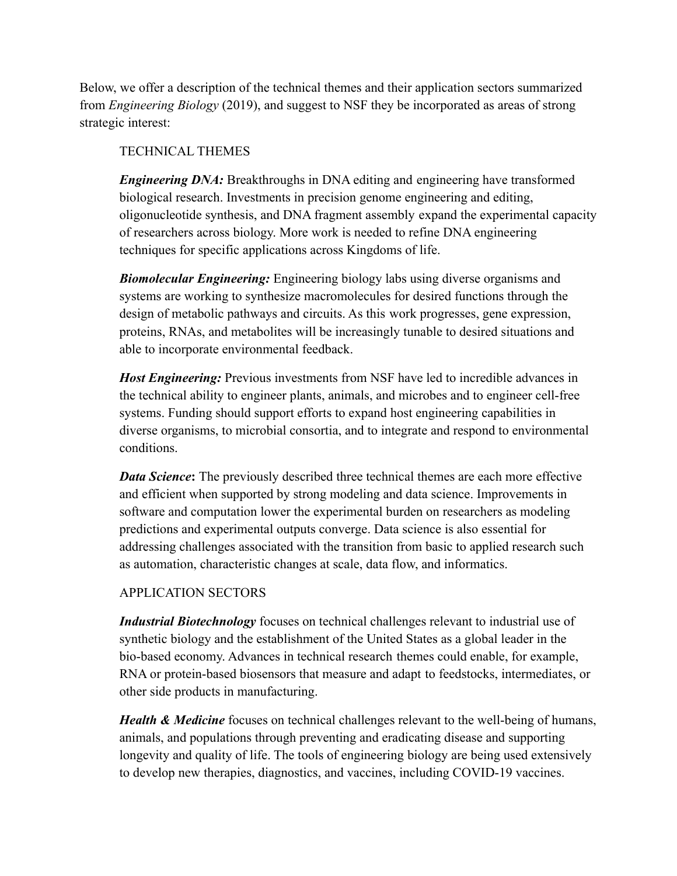Below, we offer a description of the technical themes and their application sectors summarized from *Engineering Biology* (2019), and suggest to NSF they be incorporated as areas of strong strategic interest:

#### TECHNICAL THEMES

*Engineering DNA:* Breakthroughs in DNA editing and engineering have transformed biological research. Investments in precision genome engineering and editing, oligonucleotide synthesis, and DNA fragment assembly expand the experimental capacity of researchers across biology. More work is needed to refine DNA engineering techniques for specific applications across Kingdoms of life.

*Biomolecular Engineering:* Engineering biology labs using diverse organisms and systems are working to synthesize macromolecules for desired functions through the design of metabolic pathways and circuits. As this work progresses, gene expression, proteins, RNAs, and metabolites will be increasingly tunable to desired situations and able to incorporate environmental feedback.

*Host Engineering:* Previous investments from NSF have led to incredible advances in the technical ability to engineer plants, animals, and microbes and to engineer cell-free systems. Funding should support efforts to expand host engineering capabilities in diverse organisms, to microbial consortia, and to integrate and respond to environmental conditions.

*Data Science*: The previously described three technical themes are each more effective and efficient when supported by strong modeling and data science. Improvements in software and computation lower the experimental burden on researchers as modeling predictions and experimental outputs converge. Data science is also essential for addressing challenges associated with the transition from basic to applied research such as automation, characteristic changes at scale, data flow, and informatics.

### APPLICATION SECTORS

*Industrial Biotechnology* focuses on technical challenges relevant to industrial use of synthetic biology and the establishment of the United States as a global leader in the bio-based economy. Advances in technical research themes could enable, for example, RNA or protein-based biosensors that measure and adapt to feedstocks, intermediates, or other side products in manufacturing.

*Health & Medicine* focuses on technical challenges relevant to the well-being of humans, animals, and populations through preventing and eradicating disease and supporting longevity and quality of life. The tools of engineering biology are being used extensively to develop new therapies, diagnostics, and vaccines, including COVID-19 vaccines.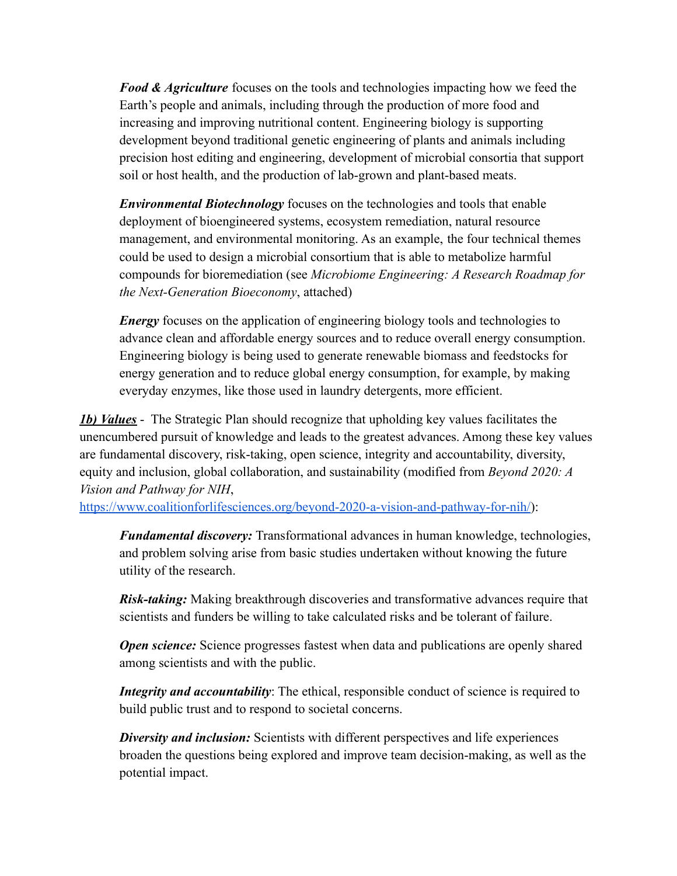*Food & Agriculture* focuses on the tools and technologies impacting how we feed the Earth's people and animals, including through the production of more food and increasing and improving nutritional content. Engineering biology is supporting development beyond traditional genetic engineering of plants and animals including precision host editing and engineering, development of microbial consortia that support soil or host health, and the production of lab-grown and plant-based meats.

*Environmental Biotechnology* focuses on the technologies and tools that enable deployment of bioengineered systems, ecosystem remediation, natural resource management, and environmental monitoring. As an example, the four technical themes could be used to design a microbial consortium that is able to metabolize harmful compounds for bioremediation (see *Microbiome Engineering: A Research Roadmap for the Next-Generation Bioeconomy*, attached)

*Energy* focuses on the application of engineering biology tools and technologies to advance clean and affordable energy sources and to reduce overall energy consumption. Engineering biology is being used to generate renewable biomass and feedstocks for energy generation and to reduce global energy consumption, for example, by making everyday enzymes, like those used in laundry detergents, more efficient.

*1b) Values* - The Strategic Plan should recognize that upholding key values facilitates the unencumbered pursuit of knowledge and leads to the greatest advances. Among these key values are fundamental discovery, risk-taking, open science, integrity and accountability, diversity, equity and inclusion, global collaboration, and sustainability (modified from *Beyond 2020: A Vision and Pathway for NIH*,

[https://www.coalitionforlifesciences.org/beyond-2020-a-vision-and-pathway-for-nih/\)](https://www.coalitionforlifesciences.org/beyond-2020-a-vision-and-pathway-for-nih/):

*Fundamental discovery:* Transformational advances in human knowledge, technologies, and problem solving arise from basic studies undertaken without knowing the future utility of the research.

*Risk-taking:* Making breakthrough discoveries and transformative advances require that scientists and funders be willing to take calculated risks and be tolerant of failure.

*Open science:* Science progresses fastest when data and publications are openly shared among scientists and with the public.

*Integrity and accountability*: The ethical, responsible conduct of science is required to build public trust and to respond to societal concerns.

*Diversity and inclusion:* Scientists with different perspectives and life experiences broaden the questions being explored and improve team decision-making, as well as the potential impact.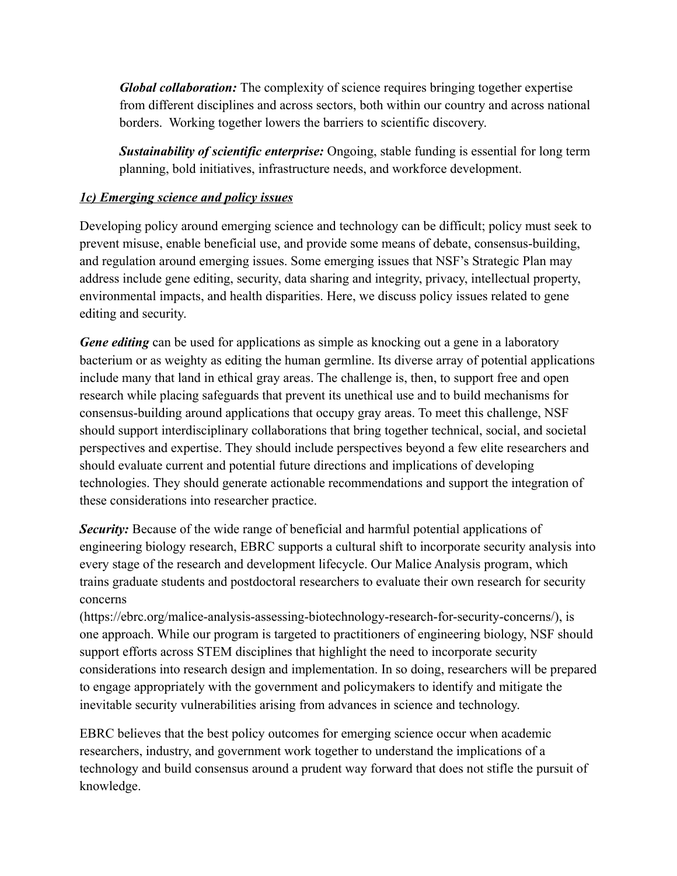*Global collaboration:* The complexity of science requires bringing together expertise from different disciplines and across sectors, both within our country and across national borders. Working together lowers the barriers to scientific discovery.

*Sustainability of scientific enterprise:* Ongoing, stable funding is essential for long term planning, bold initiatives, infrastructure needs, and workforce development.

#### *1c) Emerging science and policy issues*

Developing policy around emerging science and technology can be difficult; policy must seek to prevent misuse, enable beneficial use, and provide some means of debate, consensus-building, and regulation around emerging issues. Some emerging issues that NSF's Strategic Plan may address include gene editing, security, data sharing and integrity, privacy, intellectual property, environmental impacts, and health disparities. Here, we discuss policy issues related to gene editing and security.

*Gene editing* can be used for applications as simple as knocking out a gene in a laboratory bacterium or as weighty as editing the human germline. Its diverse array of potential applications include many that land in ethical gray areas. The challenge is, then, to support free and open research while placing safeguards that prevent its unethical use and to build mechanisms for consensus-building around applications that occupy gray areas. To meet this challenge, NSF should support interdisciplinary collaborations that bring together technical, social, and societal perspectives and expertise. They should include perspectives beyond a few elite researchers and should evaluate current and potential future directions and implications of developing technologies. They should generate actionable recommendations and support the integration of these considerations into researcher practice.

**Security:** Because of the wide range of beneficial and harmful potential applications of engineering biology research, EBRC supports a cultural shift to incorporate security analysis into every stage of the research and development lifecycle. Our Malice Analysis program, which trains graduate students and postdoctoral researchers to evaluate their own research for security concerns

(https://ebrc.org/malice-analysis-assessing-biotechnology-research-for-security-concerns/), is one approach. While our program is targeted to practitioners of engineering biology, NSF should support efforts across STEM disciplines that highlight the need to incorporate security considerations into research design and implementation. In so doing, researchers will be prepared to engage appropriately with the government and policymakers to identify and mitigate the inevitable security vulnerabilities arising from advances in science and technology.

EBRC believes that the best policy outcomes for emerging science occur when academic researchers, industry, and government work together to understand the implications of a technology and build consensus around a prudent way forward that does not stifle the pursuit of knowledge.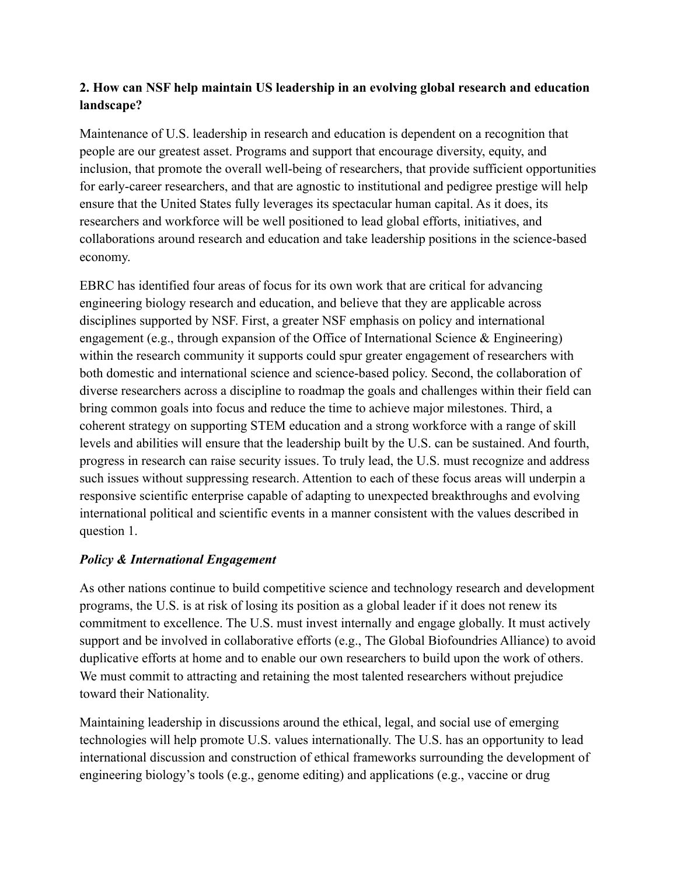#### **2. How can NSF help maintain US leadership in an evolving global research and education landscape?**

Maintenance of U.S. leadership in research and education is dependent on a recognition that people are our greatest asset. Programs and support that encourage diversity, equity, and inclusion, that promote the overall well-being of researchers, that provide sufficient opportunities for early-career researchers, and that are agnostic to institutional and pedigree prestige will help ensure that the United States fully leverages its spectacular human capital. As it does, its researchers and workforce will be well positioned to lead global efforts, initiatives, and collaborations around research and education and take leadership positions in the science-based economy.

EBRC has identified four areas of focus for its own work that are critical for advancing engineering biology research and education, and believe that they are applicable across disciplines supported by NSF. First, a greater NSF emphasis on policy and international engagement (e.g., through expansion of the Office of International Science & Engineering) within the research community it supports could spur greater engagement of researchers with both domestic and international science and science-based policy. Second, the collaboration of diverse researchers across a discipline to roadmap the goals and challenges within their field can bring common goals into focus and reduce the time to achieve major milestones. Third, a coherent strategy on supporting STEM education and a strong workforce with a range of skill levels and abilities will ensure that the leadership built by the U.S. can be sustained. And fourth, progress in research can raise security issues. To truly lead, the U.S. must recognize and address such issues without suppressing research. Attention to each of these focus areas will underpin a responsive scientific enterprise capable of adapting to unexpected breakthroughs and evolving international political and scientific events in a manner consistent with the values described in question 1.

#### *Policy & International Engagement*

As other nations continue to build competitive science and technology research and development programs, the U.S. is at risk of losing its position as a global leader if it does not renew its commitment to excellence. The U.S. must invest internally and engage globally. It must actively support and be involved in collaborative efforts (e.g., The Global Biofoundries Alliance) to avoid duplicative efforts at home and to enable our own researchers to build upon the work of others. We must commit to attracting and retaining the most talented researchers without prejudice toward their Nationality.

Maintaining leadership in discussions around the ethical, legal, and social use of emerging technologies will help promote U.S. values internationally. The U.S. has an opportunity to lead international discussion and construction of ethical frameworks surrounding the development of engineering biology's tools (e.g., genome editing) and applications (e.g., vaccine or drug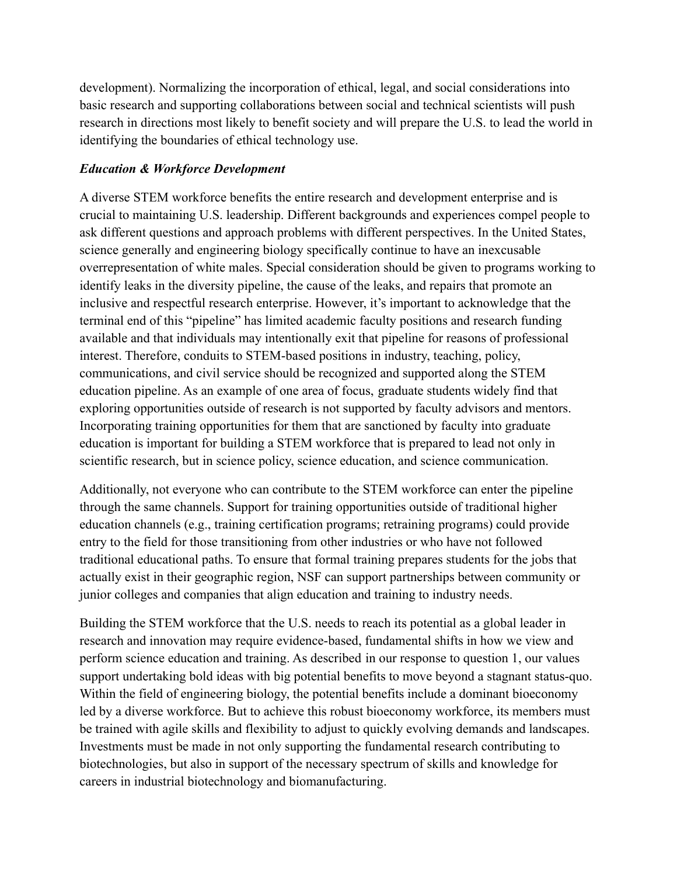development). Normalizing the incorporation of ethical, legal, and social considerations into basic research and supporting collaborations between social and technical scientists will push research in directions most likely to benefit society and will prepare the U.S. to lead the world in identifying the boundaries of ethical technology use.

#### *Education & Workforce Development*

A diverse STEM workforce benefits the entire research and development enterprise and is crucial to maintaining U.S. leadership. Different backgrounds and experiences compel people to ask different questions and approach problems with different perspectives. In the United States, science generally and engineering biology specifically continue to have an inexcusable overrepresentation of white males. Special consideration should be given to programs working to identify leaks in the diversity pipeline, the cause of the leaks, and repairs that promote an inclusive and respectful research enterprise. However, it's important to acknowledge that the terminal end of this "pipeline" has limited academic faculty positions and research funding available and that individuals may intentionally exit that pipeline for reasons of professional interest. Therefore, conduits to STEM-based positions in industry, teaching, policy, communications, and civil service should be recognized and supported along the STEM education pipeline. As an example of one area of focus, graduate students widely find that exploring opportunities outside of research is not supported by faculty advisors and mentors. Incorporating training opportunities for them that are sanctioned by faculty into graduate education is important for building a STEM workforce that is prepared to lead not only in scientific research, but in science policy, science education, and science communication.

Additionally, not everyone who can contribute to the STEM workforce can enter the pipeline through the same channels. Support for training opportunities outside of traditional higher education channels (e.g., training certification programs; retraining programs) could provide entry to the field for those transitioning from other industries or who have not followed traditional educational paths. To ensure that formal training prepares students for the jobs that actually exist in their geographic region, NSF can support partnerships between community or junior colleges and companies that align education and training to industry needs.

Building the STEM workforce that the U.S. needs to reach its potential as a global leader in research and innovation may require evidence-based, fundamental shifts in how we view and perform science education and training. As described in our response to question 1, our values support undertaking bold ideas with big potential benefits to move beyond a stagnant status-quo. Within the field of engineering biology, the potential benefits include a dominant bioeconomy led by a diverse workforce. But to achieve this robust bioeconomy workforce, its members must be trained with agile skills and flexibility to adjust to quickly evolving demands and landscapes. Investments must be made in not only supporting the fundamental research contributing to biotechnologies, but also in support of the necessary spectrum of skills and knowledge for careers in industrial biotechnology and biomanufacturing.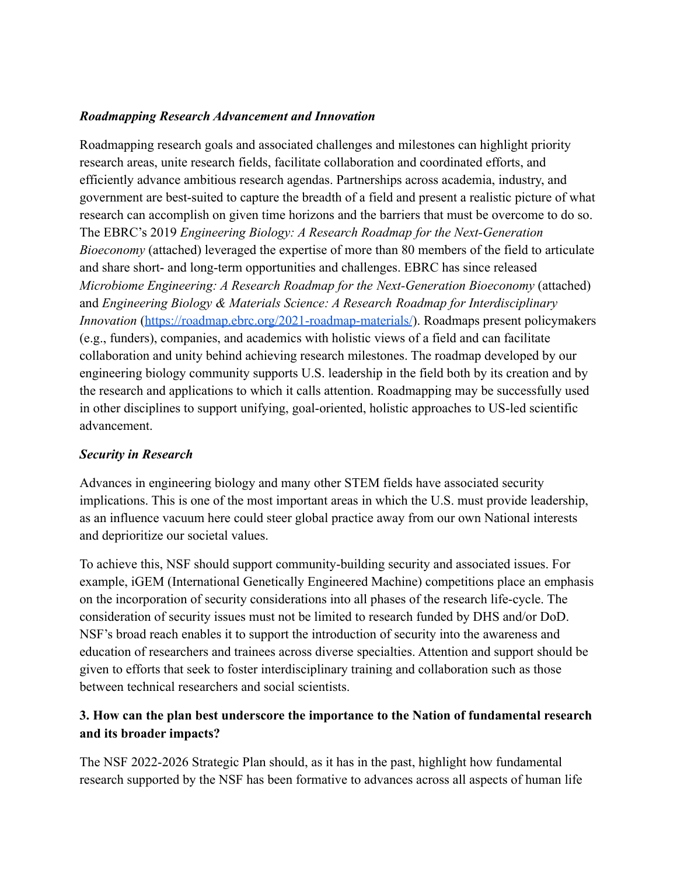#### *Roadmapping Research Advancement and Innovation*

Roadmapping research goals and associated challenges and milestones can highlight priority research areas, unite research fields, facilitate collaboration and coordinated efforts, and efficiently advance ambitious research agendas. Partnerships across academia, industry, and government are best-suited to capture the breadth of a field and present a realistic picture of what research can accomplish on given time horizons and the barriers that must be overcome to do so. The EBRC's 2019 *Engineering Biology: A Research Roadmap for the Next-Generation Bioeconomy* (attached) leveraged the expertise of more than 80 members of the field to articulate and share short- and long-term opportunities and challenges. EBRC has since released *Microbiome Engineering: A Research Roadmap for the Next-Generation Bioeconomy* (attached) and *Engineering Biology & Materials Science: A Research Roadmap for Interdisciplinary Innovation* (<https://roadmap.ebrc.org/2021-roadmap-materials/>). Roadmaps present policymakers (e.g., funders), companies, and academics with holistic views of a field and can facilitate collaboration and unity behind achieving research milestones. The roadmap developed by our engineering biology community supports U.S. leadership in the field both by its creation and by the research and applications to which it calls attention. Roadmapping may be successfully used in other disciplines to support unifying, goal-oriented, holistic approaches to US-led scientific advancement.

#### *Security in Research*

Advances in engineering biology and many other STEM fields have associated security implications. This is one of the most important areas in which the U.S. must provide leadership, as an influence vacuum here could steer global practice away from our own National interests and deprioritize our societal values.

To achieve this, NSF should support community-building security and associated issues. For example, iGEM (International Genetically Engineered Machine) competitions place an emphasis on the incorporation of security considerations into all phases of the research life-cycle. The consideration of security issues must not be limited to research funded by DHS and/or DoD. NSF's broad reach enables it to support the introduction of security into the awareness and education of researchers and trainees across diverse specialties. Attention and support should be given to efforts that seek to foster interdisciplinary training and collaboration such as those between technical researchers and social scientists.

#### **3. How can the plan best underscore the importance to the Nation of fundamental research and its broader impacts?**

The NSF 2022-2026 Strategic Plan should, as it has in the past, highlight how fundamental research supported by the NSF has been formative to advances across all aspects of human life